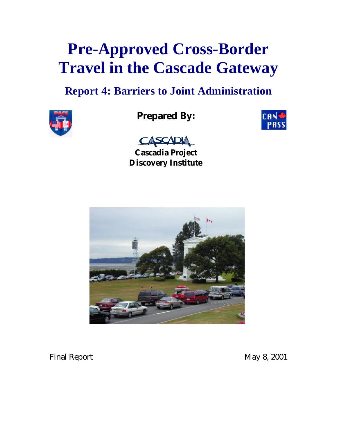# **Pre-Approved Cross-Border Travel in the Cascade Gateway**

# **Report 4: Barriers to Joint Administration**



# **Prepared By:**





**Cascadia Project Discovery Institute**



Final Report May 8, 2001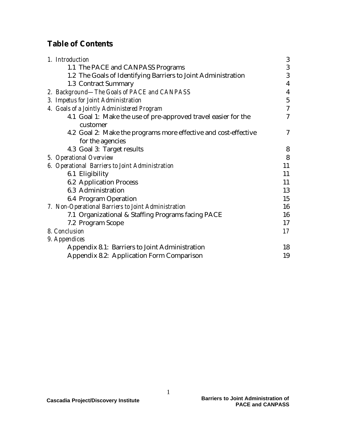# **Table of Contents**

| 1. Introduction                                                                     | 3                        |
|-------------------------------------------------------------------------------------|--------------------------|
| 1.1 The PACE and CANPASS Programs                                                   | 3                        |
| 1.2 The Goals of Identifying Barriers to Joint Administration                       | 3                        |
| 1.3 Contract Summary                                                                | 4                        |
| 2. Background-The Goals of PACE and CANPASS                                         | 4                        |
| 3. Impetus for Joint Administration                                                 | $\overline{5}$           |
| 4. Goals of a Jointly Administered Program                                          | $\overline{\mathcal{U}}$ |
| 4.1 Goal 1: Make the use of pre-approved travel easier for the<br>customer          | 7                        |
| 4.2 Goal 2: Make the programs more effective and cost-effective<br>for the agencies | 7                        |
| 4.3 Goal 3: Target results                                                          | 8                        |
| 5. Operational Overview                                                             | 8                        |
| 6. Operational Barriers to Joint Administration                                     | 11                       |
| 6.1 Eligibility                                                                     | 11                       |
| <b>6.2 Application Process</b>                                                      | 11                       |
| 6.3 Administration                                                                  | 13                       |
| 6.4 Program Operation                                                               | 15                       |
| 7. Non-Operational Barriers to Joint Administration                                 | 16                       |
| 7.1 Organizational & Staffing Programs facing PACE                                  | 16                       |
| 7.2 Program Scope                                                                   | 17                       |
| 8. Conclusion                                                                       | 17                       |
| 9. Appendices                                                                       |                          |
| Appendix 8.1: Barriers to Joint Administration                                      | 18                       |
| <b>Appendix 8.2: Application Form Comparison</b>                                    | 19                       |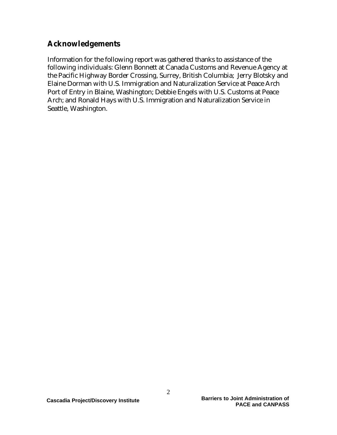# **Acknowledgements**

Information for the following report was gathered thanks to assistance of the following individuals: Glenn Bonnett at Canada Customs and Revenue Agency at the Pacific Highway Border Crossing, Surrey, British Columbia; Jerry Blotsky and Elaine Dorman with U.S. Immigration and Naturalization Service at Peace Arch Port of Entry in Blaine, Washington; Debbie Engels with U.S. Customs at Peace Arch; and Ronald Hays with U.S. Immigration and Naturalization Service in Seattle, Washington.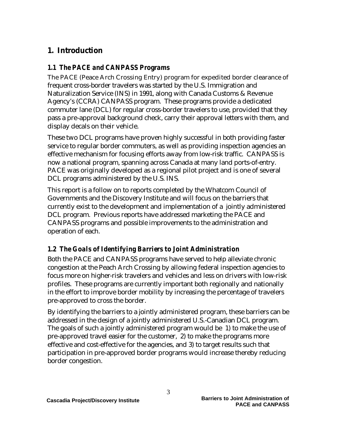# **1. Introduction**

#### *1.1 The PACE and CANPASS Programs*

The PACE (Peace Arch Crossing Entry) program for expedited border clearance of frequent cross-border travelers was started by the U.S. Immigration and Naturalization Service (INS) in 1991, along with Canada Customs & Revenue Agency's (CCRA) CANPASS program. These programs provide a dedicated commuter lane (DCL) for regular cross-border travelers to use, provided that they pass a pre-approval background check, carry their approval letters with them, and display decals on their vehicle.

These two DCL programs have proven highly successful in both providing faster service to regular border commuters, as well as providing inspection agencies an effective mechanism for focusing efforts away from low-risk traffic. CANPASS is now a national program, spanning across Canada at many land ports-of-entry. PACE was originally developed as a regional pilot project and is one of several DCL programs administered by the U.S. INS.

This report is a follow on to reports completed by the Whatcom Council of Governments and the Discovery Institute and will focus on the barriers that currently exist to the development and implementation of a jointly administered DCL program. Previous reports have addressed marketing the PACE and CANPASS programs and possible improvements to the administration and operation of each.

# *1.2 The Goals of Identifying Barriers to Joint Administration*

Both the PACE and CANPASS programs have served to help alleviate chronic congestion at the Peach Arch Crossing by allowing federal inspection agencies to focus more on higher-risk travelers and vehicles and less on drivers with low-risk profiles. These programs are currently important both regionally and nationally in the effort to improve border mobility by increasing the percentage of travelers pre-approved to cross the border.

By identifying the barriers to a jointly administered program, these barriers can be addressed in the design of a jointly administered U.S.-Canadian DCL program. The goals of such a jointly administered program would be 1) to make the use of pre-approved travel easier for the customer, 2) to make the programs more effective and cost-effective for the agencies, and 3) to target results such that participation in pre-approved border programs would increase thereby reducing border congestion.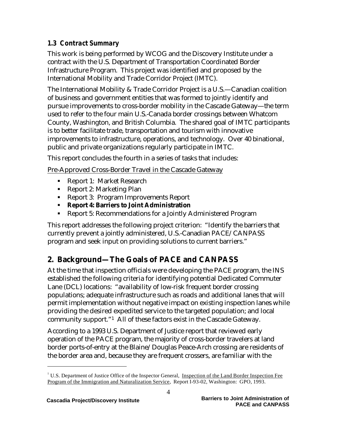### *1.3 Contract Summary*

This work is being performed by WCOG and the Discovery Institute under a contract with the U.S. Department of Transportation Coordinated Border Infrastructure Program. This project was identified and proposed by the International Mobility and Trade Corridor Project (IMTC).

The International Mobility & Trade Corridor Project is a U.S.—Canadian coalition of business and government entities that was formed to jointly identify and pursue improvements to cross-border mobility in the Cascade Gateway—the term used to refer to the four main U.S.-Canada border crossings between Whatcom County, Washington, and British Columbia. The shared goal of IMTC participants is to better facilitate trade, transportation and tourism with innovative improvements to infrastructure, operations, and technology. Over 40 binational, public and private organizations regularly participate in IMTC.

This report concludes the fourth in a series of tasks that includes:

Pre-Approved Cross-Border Travel in the Cascade Gateway

- Report 1: Market Research
- Report 2: Marketing Plan
- Report 3: Program Improvements Report
- ß **Report 4: Barriers to Joint Administration**
- ß Report 5: Recommendations for a Jointly Administered Program

This report addresses the following project criterion: "Identify the barriers that currently prevent a jointly administered, U.S.-Canadian PACE/CANPASS program and seek input on providing solutions to current barriers."

# **2. Background—The Goals of PACE and CANPASS**

At the time that inspection officials were developing the PACE program, the INS established the following criteria for identifying potential Dedicated Commuter Lane (DCL) locations: "availability of low-risk frequent border crossing populations; adequate infrastructure such as roads and additional lanes that will permit implementation without negative impact on existing inspection lanes while providing the desired expedited service to the targeted population; and local community support."1 All of these factors exist in the Cascade Gateway.

According to a 1993 U.S. Department of Justice report that reviewed early operation of the PACE program, the majority of cross-border travelers at land border ports-of-entry at the Blaine/Douglas Peace-Arch crossing are residents of the border area and, because they are frequent crossers, are familiar with the

<sup>&</sup>lt;sup>1</sup> U.S. Department of Justice Office of the Inspector General, Inspection of the Land Border Inspection Fee Program of the Immigration and Naturalization Service, Report I-93-02, Washington: GPO, 1993.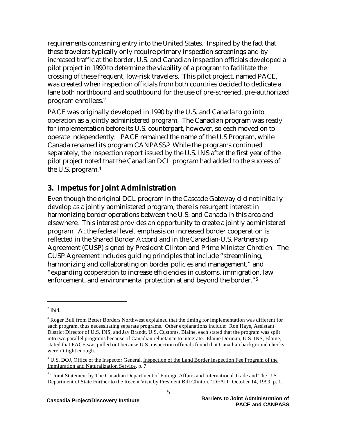requirements concerning entry into the United States. Inspired by the fact that these travelers typically only require primary inspection screenings and by increased traffic at the border, U.S. and Canadian inspection officials developed a pilot project in 1990 to determine the viability of a program to facilitate the crossing of these frequent, low-risk travelers. This pilot project, named PACE, was created when inspection officials from both countries decided to dedicate a lane both northbound and southbound for the use of pre-screened, pre-authorized program enrollees.<sup>2</sup>

PACE was originally developed in 1990 by the U.S. and Canada to go into operation as a jointly administered program. The Canadian program was ready for implementation before its U.S. counterpart, however, so each moved on to operate independently. PACE remained the name of the U.S Program, while Canada renamed its program CANPASS.3 While the programs continued separately, the Inspection report issued by the U.S. INS after the first year of the pilot project noted that the Canadian DCL program had added to the success of the U.S. program.<sup>4</sup>

# **3. Impetus for Joint Administration**

Even though the original DCL program in the Cascade Gateway did not initially develop as a jointly administered program, there is resurgent interest in harmonizing border operations between the U.S. and Canada in this area and elsewhere. This interest provides an opportunity to create a jointly administered program. At the federal level, emphasis on increased border cooperation is reflected in the Shared Border Accord and in the Canadian-U.S. Partnership Agreement (CUSP) signed by President Clinton and Prime Minister Chrétien. The CUSP Agreement includes guiding principles that include "streamlining, harmonizing and collaborating on border policies and management," and "expanding cooperation to increase efficiencies in customs, immigration, law enforcement, and environmental protection at and beyond the border."<sup>5</sup>

 $2$  Ibid.

<sup>&</sup>lt;sup>3</sup> Roger Bull from Better Borders Northwest explained that the timing for implementation was different for each program, thus necessitating separate programs. Other explanations include: Ron Hays, Assistant District Director of U.S. INS, and Jay Brandt, U.S. Customs, Blaine, each stated that the program was split into two parallel programs because of Canadian reluctance to integrate. Elaine Dorman, U.S. INS, Blaine, stated that PACE was pulled out because U.S. inspection officials found that Canadian background checks weren't tight enough.

<sup>&</sup>lt;sup>4</sup> U.S. DOJ, Office of the Inspector General, Inspection of the Land Border Inspection Fee Program of the Immigration and Naturalization Service, p. 7.

<sup>&</sup>lt;sup>5</sup> "Joint Statement by The Canadian Department of Foreign Affairs and International Trade and The U.S. Department of State Further to the Recent Visit by President Bill Clinton," DFAIT, October 14, 1999, p. 1.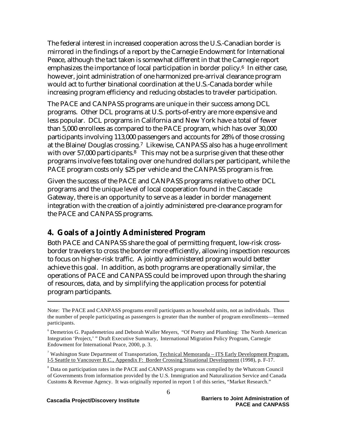The federal interest in increased cooperation across the U.S.-Canadian border is mirrored in the findings of a report by the Carnegie Endowment for International Peace, although the tact taken is somewhat different in that the Carnegie report emphasizes the importance of local participation in border policy.<sup>6</sup> In either case, however, joint administration of one harmonized pre-arrival clearance program would act to further binational coordination at the U.S.-Canada border while increasing program efficiency and reducing obstacles to traveler participation.

The PACE and CANPASS programs are unique in their success among DCL programs. Other DCL programs at U.S. ports-of-entry are more expensive and less popular. DCL programs in California and New York have a total of fewer than 5,000 enrollees as compared to the PACE program, which has over 30,000 participants involving 113,000 passengers and accounts for 28% of those crossing at the Blaine/Douglas crossing.7 Likewise, CANPASS also has a huge enrollment with over 57,000 participants.<sup>8</sup> This may not be a surprise given that these other programs involve fees totaling over one hundred dollars per participant, while the PACE program costs only \$25 per vehicle and the CANPASS program is free.

Given the success of the PACE and CANPASS programs relative to other DCL programs and the unique level of local cooperation found in the Cascade Gateway, there is an opportunity to serve as a leader in border management integration with the creation of a jointly administered pre-clearance program for the PACE and CANPASS programs.

# **4. Goals of a Jointly Administered Program**

Both PACE and CANPASS share the goal of permitting frequent, low-risk crossborder travelers to cross the border more efficiently, allowing inspection resources to focus on higher-risk traffic. A jointly administered program would better achieve this goal. In addition, as both programs are operationally similar, the operations of PACE and CANPASS could be improved upon through the sharing of resources, data, and by simplifying the application process for potential program participants.

Note: The PACE and CANPASS programs enroll participants as household units, not as individuals. Thus the number of people participating as passengers is greater than the number of program enrollments—termed participants.

<sup>6</sup> Demetrios G. Papademetriou and Deborah Waller Meyers, "Of Poetry and Plumbing: The North American Integration 'Project,' " Draft Executive Summary, International Migration Policy Program, Carnegie Endowment for International Peace, 2000, p. 3.

<sup>&</sup>lt;sup>7</sup> Washington State Department of Transportation, Technical Memoranda – ITS Early Development Program, I-5 Seattle to Vancouver B.C., Appendix F: Border Crossing Situational Development (1998), p. F-17.

<sup>&</sup>lt;sup>8</sup> Data on participation rates in the PACE and CANPASS programs was compiled by the Whatcom Council of Governments from information provided by the U.S. Immigration and Naturalization Service and Canada Customs & Revenue Agency. It was originally reported in report 1 of this series, "Market Research."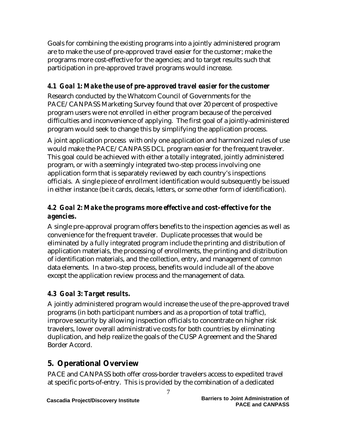Goals for combining the existing programs into a jointly administered program are to make the use of pre-approved travel easier for the customer; make the programs more cost-effective for the agencies; and to target results such that participation in pre-approved travel programs would increase.

# *4.1 Goal 1: Make the use of pre-approved travel easier for the customer*

Research conducted by the Whatcom Council of Governments for the PACE/CANPASS Marketing Survey found that over 20 percent of prospective program users were not enrolled in either program because of the perceived difficulties and inconvenience of applying. The first goal of a jointly-administered program would seek to change this by simplifying the application process.

A joint application process with only one application and harmonized rules of use would make the PACE/CANPASS DCL program easier for the frequent traveler. This goal could be achieved with either a totally integrated, jointly administered program, or with a seemingly integrated two-step process involving one application form that is separately reviewed by each country's inspections officials. A single piece of enrollment identification would subsequently be issued in either instance (be it cards, decals, letters, or some other form of identification).

### *4.2 Goal 2: Make the programs more effective and cost-effective for the agencies.*

A single pre-approval program offers benefits to the inspection agencies as well as convenience for the frequent traveler. Duplicate processes that would be eliminated by a fully integrated program include the printing and distribution of application materials, the processing of enrollments, the printing and distribution of identification materials, and the collection, entry, and management of *common* data elements. In a two-step process, benefits would include all of the above except the application review process and the management of data.

# *4.3 Goal 3: Target results.*

A jointly administered program would increase the use of the pre-approved travel programs (in both participant numbers and as a proportion of total traffic), improve security by allowing inspection officials to concentrate on higher risk travelers, lower overall administrative costs for both countries by eliminating duplication, and help realize the goals of the CUSP Agreement and the Shared Border Accord.

# **5. Operational Overview**

PACE and CANPASS both offer cross-border travelers access to expedited travel at specific ports-of-entry. This is provided by the combination of a dedicated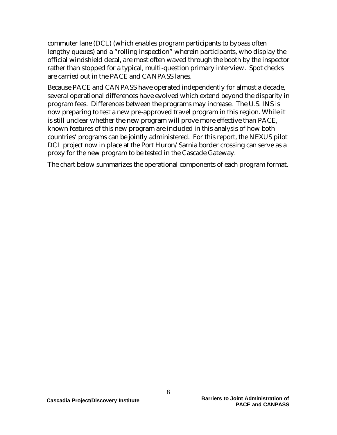commuter lane (DCL) (which enables program participants to bypass often lengthy queues) and a "rolling inspection" wherein participants, who display the official windshield decal, are most often waved through the booth by the inspector rather than stopped for a typical, multi-question primary interview. Spot checks are carried out in the PACE and CANPASS lanes.

Because PACE and CANPASS have operated independently for almost a decade, several operational differences have evolved which extend beyond the disparity in program fees. Differences between the programs may increase. The U.S. INS is now preparing to test a new pre-approved travel program in this region. While it is still unclear whether the new program will prove more effective than PACE, known features of this new program are included in this analysis of how both countries' programs can be jointly administered. For this report, the NEXUS pilot DCL project now in place at the Port Huron/Sarnia border crossing can serve as a proxy for the new program to be tested in the Cascade Gateway.

The chart below summarizes the operational components of each program format.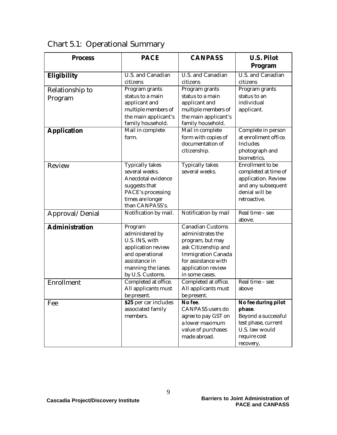| <b>Process</b>        | <b>PACE</b>            | <b>CANPASS</b>                     | <b>U.S. Pilot</b><br>Program          |
|-----------------------|------------------------|------------------------------------|---------------------------------------|
|                       |                        |                                    |                                       |
| <b>Eligibility</b>    | U.S. and Canadian      | U.S. and Canadian                  | U.S. and Canadian                     |
|                       | citizens               | citizens                           | citizens                              |
| Relationship to       | Program grants         | Program grants                     | Program grants                        |
| Program               | status to a main       | status to a main                   | status to an                          |
|                       | applicant and          | applicant and                      | individual                            |
|                       | multiple members of    | multiple members of                | applicant.                            |
|                       | the main applicant's   | the main applicant's               |                                       |
|                       | family household.      | family household.                  |                                       |
| <b>Application</b>    | Mail in complete       | Mail in complete                   | Complete in person                    |
|                       | form.                  | form with copies of                | at enrollment office.                 |
|                       |                        | documentation of                   | Includes                              |
|                       |                        | citizenship.                       | photograph and                        |
|                       |                        |                                    | biometrics.                           |
| Review                | <b>Typically takes</b> | <b>Typically takes</b>             | Enrollment to be                      |
|                       | several weeks.         | several weeks.                     | completed at time of                  |
|                       | Anecdotal evidence     |                                    | application. Review                   |
|                       | suggests that          |                                    | and any subsequent                    |
|                       | PACE's processing      |                                    | denial will be                        |
|                       | times are longer       |                                    | retroactive.                          |
|                       | than CANPASS's.        |                                    |                                       |
| Approval/Denial       | Notification by mail.  | Notification by mail               | Real time - see<br>above.             |
| <b>Administration</b> | Program                | Canadian Customs                   |                                       |
|                       | administered by        | administrates the                  |                                       |
|                       | U.S. INS, with         | program, but may                   |                                       |
|                       | application review     | ask Citizenship and                |                                       |
|                       | and operational        | <b>Immigration Canada</b>          |                                       |
|                       | assistance in          | for assistance with                |                                       |
|                       | manning the lanes      | application review                 |                                       |
|                       | by U.S. Customs.       | in some cases.                     |                                       |
| Enrollment            | Completed at office.   | Completed at office.               | $\overline{\text{Real}}$ time – see   |
|                       | All applicants must    | All applicants must                | above                                 |
|                       | be present.            | be present.                        |                                       |
| Fee                   | \$25 per car includes  | No fee.                            | No fee during pilot                   |
|                       | associated family      | CANPASS users do                   | phase.                                |
|                       | members.               | agree to pay GST on                | Beyond a successful                   |
|                       |                        | a lower maximum                    | test phase, current<br>U.S. law would |
|                       |                        | value of purchases<br>made abroad. |                                       |
|                       |                        |                                    | require cost                          |
|                       |                        |                                    | recovery,                             |

Chart 5.1: Operational Summary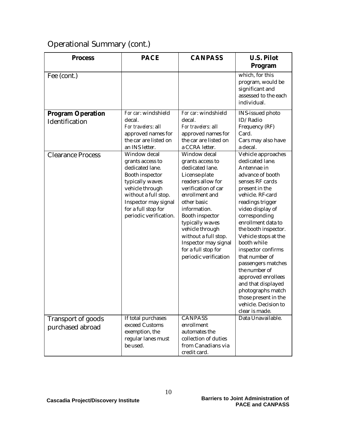# Operational Summary (cont.)

| <b>Process</b>                         | <b>PACE</b>                                                                                                                                                                                                   | <b>CANPASS</b>                                                                                                                                                                                                                                                                                                             | <b>U.S. Pilot</b>                                                                                                                                                                                                                                                                                                                                                                                                                                                                                 |
|----------------------------------------|---------------------------------------------------------------------------------------------------------------------------------------------------------------------------------------------------------------|----------------------------------------------------------------------------------------------------------------------------------------------------------------------------------------------------------------------------------------------------------------------------------------------------------------------------|---------------------------------------------------------------------------------------------------------------------------------------------------------------------------------------------------------------------------------------------------------------------------------------------------------------------------------------------------------------------------------------------------------------------------------------------------------------------------------------------------|
|                                        |                                                                                                                                                                                                               |                                                                                                                                                                                                                                                                                                                            | Program                                                                                                                                                                                                                                                                                                                                                                                                                                                                                           |
| Fee (cont.)                            |                                                                                                                                                                                                               |                                                                                                                                                                                                                                                                                                                            | which, for this<br>program, would be<br>significant and<br>assessed to the each<br>individual.                                                                                                                                                                                                                                                                                                                                                                                                    |
| <b>Program Operation</b>               | For car: windshield                                                                                                                                                                                           | For car: windshield                                                                                                                                                                                                                                                                                                        | INS-issued photo                                                                                                                                                                                                                                                                                                                                                                                                                                                                                  |
| Identification                         | decal.<br>For travelers: all<br>approved names for<br>the car are listed on<br>an INS letter.                                                                                                                 | decal.<br>For travelers: all<br>approved names for<br>the car are listed on<br>a CCRA letter.                                                                                                                                                                                                                              | ID/Radio<br>Frequency (RF)<br>Card.<br>Cars may also have<br>a decal.                                                                                                                                                                                                                                                                                                                                                                                                                             |
| <b>Clearance Process</b>               | Window decal<br>grants access to<br>dedicated lane.<br>Booth inspector<br>typically waves<br>vehicle through<br>without a full stop.<br>Inspector may signal<br>for a full stop for<br>periodic verification. | Window decal<br>grants access to<br>dedicated lane.<br>License-plate<br>readers allow for<br>verification of car<br>enrollment and<br>other basic<br>information.<br>Booth inspector<br>typically waves<br>vehicle through<br>without a full stop.<br>Inspector may signal<br>for a full stop for<br>periodic verification | Vehicle approaches<br>dedicated lane.<br>Antennae in<br>advance of booth<br>senses RF cards<br>present in the<br>vehicle. RF-card<br>readings trigger<br>video display of<br>corresponding<br>enrollment data to<br>the booth inspector.<br>Vehicle stops at the<br>booth while<br>inspector confirms<br>that number of<br>passengers matches<br>the number of<br>approved enrollees<br>and that displayed<br>photographs match<br>those present in the<br>vehicle. Decision to<br>clear is made. |
| Transport of goods<br>purchased abroad | If total purchases<br>exceed Customs<br>exemption, the<br>regular lanes must<br>be used.                                                                                                                      | <b>CANPASS</b><br>enrollment<br>automates the<br>collection of duties<br>from Canadians via<br>credit card.                                                                                                                                                                                                                | Data Unavailable.                                                                                                                                                                                                                                                                                                                                                                                                                                                                                 |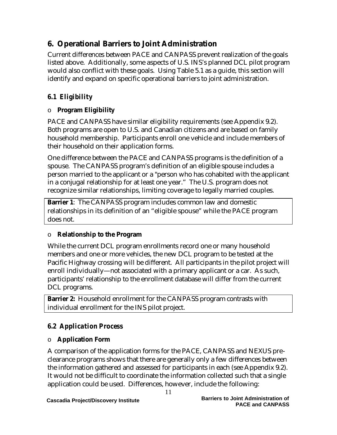# **6. Operational Barriers to Joint Administration**

Current differences between PACE and CANPASS prevent realization of the goals listed above. Additionally, some aspects of U.S. INS's planned DCL pilot program would also conflict with these goals. Using Table 5.1 as a guide, this section will identify and expand on specific operational barriers to joint administration.

# *6.1 Eligibility*

# o **Program Eligibility**

PACE and CANPASS have similar eligibility requirements (see Appendix 9.2). Both programs are open to U.S. and Canadian citizens and are based on family household membership. Participants enroll one vehicle and include members of their household on their application forms.

One difference between the PACE and CANPASS programs is the definition of a spouse. The CANPASS program's definition of an eligible spouse includes a person married to the applicant or a "person who has cohabited with the applicant in a conjugal relationship for at least one year." The U.S. program does not recognize similar relationships, limiting coverage to legally married couples.

**Barrier 1**: The CANPASS program includes common law and domestic relationships in its definition of an "eligible spouse" while the PACE program does not.

# o **Relationship to the Program**

While the current DCL program enrollments record one or many household members and one or more vehicles, the new DCL program to be tested at the Pacific Highway crossing will be different. All participants in the pilot project will enroll individually—not associated with a primary applicant or a car. As such, participants' relationship to the enrollment database will differ from the current DCL programs.

**Barrier 2:** Household enrollment for the CANPASS program contrasts with individual enrollment for the INS pilot project.

# *6.2 Application Process*

# o **Application Form**

A comparison of the application forms for the PACE, CANPASS and NEXUS preclearance programs shows that there are generally only a few differences between the information gathered and assessed for participants in each (see Appendix 9.2). It would not be difficult to coordinate the information collected such that a single application could be used. Differences, however, include the following: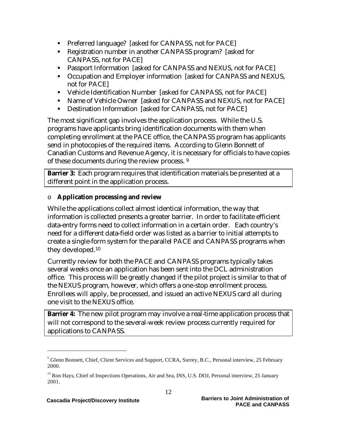- **Preferred language?** [asked for CANPASS, not for PACE]
- Registration number in another CANPASS program? [asked for CANPASS, not for PACE]
- **B** Passport Information [asked for CANPASS and NEXUS, not for PACE]
- Occupation and Employer information [asked for CANPASS and NEXUS, not for PACE]
- Vehicle Identification Number [asked for CANPASS, not for PACE]
- Name of Vehicle Owner [asked for CANPASS and NEXUS, not for PACE]
- **•** Destination Information [asked for CANPASS, not for PACE]

The most significant gap involves the application process. While the U.S. programs have applicants bring identification documents with them when completing enrollment at the PACE office, the CANPASS program has applicants send in photocopies of the required items. According to Glenn Bonnett of Canadian Customs and Revenue Agency, it is necessary for officials to have copies of these documents during the review process. <sup>9</sup>

**Barrier 3:** Each program requires that identification materials be presented at a different point in the application process.

#### o **Application processing and review**

While the applications collect almost identical information, the way that information is collected presents a greater barrier. In order to facilitate efficient data-entry forms need to collect information in a certain order. Each country's need for a different data-field order was listed as a barrier to initial attempts to create a single-form system for the parallel PACE and CANPASS programs when they developed.<sup>10</sup>

Currently review for both the PACE and CANPASS programs typically takes several weeks once an application has been sent into the DCL administration office. This process will be greatly changed if the pilot project is similar to that of the NEXUS program, however, which offers a one-stop enrollment process. Enrollees will apply, be processed, and issued an active NEXUS card all during one visit to the NEXUS office.

**Barrier 4:** The new pilot program may involve a real-time application process that will not correspond to the several-week review process currently required for applications to CANPASS.

<sup>9</sup> Glenn Bonnett, Chief, Client Services and Support, CCRA, Surrey, B.C., Personal interview, 25 February 2000.

<sup>&</sup>lt;sup>10</sup> Ron Hays, Chief of Inspections Operations, Air and Sea, INS, U.S. DOJ, Personal interview, 25 January 2001.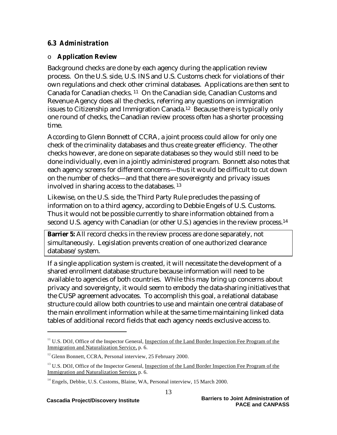#### *6.3 Administration*

#### o **Application Review**

Background checks are done by each agency during the application review process. On the U.S. side, U.S. INS and U.S. Customs check for violations of their own regulations and check other criminal databases. Applications are then sent to Canada for Canadian checks. <sup>11</sup> On the Canadian side, Canadian Customs and Revenue Agency does all the checks, referring any questions on immigration issues to Citizenship and Immigration Canada.12 Because there is typically only one round of checks, the Canadian review process often has a shorter processing time.

According to Glenn Bonnett of CCRA, a joint process could allow for only one check of the criminality databases and thus create greater efficiency. The other checks however, are done on separate databases so they would still need to be done individually, even in a jointly administered program. Bonnett also notes that each agency screens for different concerns—thus it would be difficult to cut down on the number of checks—and that there are sovereignty and privacy issues involved in sharing access to the databases. <sup>13</sup>

Likewise, on the U.S. side, the Third Party Rule precludes the passing of information on to a third agency, according to Debbie Engels of U.S. Customs. Thus it would not be possible currently to share information obtained from a second U.S. agency with Canadian (or other U.S.) agencies in the review process.<sup>14</sup>

**Barrier 5:** All record checks in the review process are done separately, not simultaneously. Legislation prevents creation of one authorized clearance database/system.

If a single application system is created, it will necessitate the development of a shared enrollment database structure because information will need to be available to agencies of both countries. While this may bring up concerns about privacy and sovereignty, it would seem to embody the data-sharing initiatives that the CUSP agreement advocates. To accomplish this goal, a relational database structure could allow both countries to use and maintain one central database of the main enrollment information while at the same time maintaining linked data tables of additional record fields that each agency needs exclusive access to.

<sup>&</sup>lt;sup>11</sup> U.S. DOJ, Office of the Inspector General, Inspection of the Land Border Inspection Fee Program of the Immigration and Naturalization Service, p. 6.

 $12$  Glenn Bonnett, CCRA, Personal interview, 25 February 2000.

<sup>&</sup>lt;sup>13</sup> U.S. DOJ, Office of the Inspector General, Inspection of the Land Border Inspection Fee Program of the Immigration and Naturalization Service, p. 6.

<sup>&</sup>lt;sup>14</sup> Engels, Debbie, U.S. Customs, Blaine, WA, Personal interview, 15 March 2000.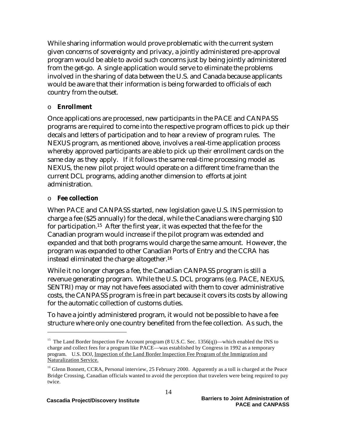While sharing information would prove problematic with the current system given concerns of sovereignty and privacy, a jointly administered pre-approval program would be able to avoid such concerns just by being jointly administered from the get-go. A single application would serve to eliminate the problems involved in the sharing of data between the U.S. and Canada because applicants would be aware that their information is being forwarded to officials of each country from the outset.

#### o **Enrollment**

Once applications are processed, new participants in the PACE and CANPASS programs are required to come into the respective program offices to pick up their decals and letters of participation and to hear a review of program rules. The NEXUS program, as mentioned above, involves a real-time application process whereby approved participants are able to pick up their enrollment cards on the same day as they apply. If it follows the same real-time processing model as NEXUS, the new pilot project would operate on a different time frame than the current DCL programs, adding another dimension to efforts at joint administration.

#### o **Fee collection**

 $\overline{a}$ 

When PACE and CANPASS started, new legislation gave U.S. INS permission to charge a fee (\$25 annually) for the decal, while the Canadians were charging \$10 for participation.15 After the first year, it was expected that the fee for the Canadian program would increase if the pilot program was extended and expanded and that both programs would charge the same amount. However, the program was expanded to other Canadian Ports of Entry and the CCRA has instead eliminated the charge altogether.<sup>16</sup>

While it no longer charges a fee, the Canadian CANPASS program is still a revenue generating program. While the U.S. DCL programs (e.g. PACE, NEXUS, SENTRI) may or may not have fees associated with them to cover administrative costs, the CANPASS program is free in part because it covers its costs by allowing for the automatic collection of customs duties.

To have a jointly administered program, it would not be possible to have a fee structure where only one country benefited from the fee collection. As such, the

<sup>&</sup>lt;sup>15</sup> The Land Border Inspection Fee Account program (8 U.S.C. Sec. 1356(q))—which enabled the INS to charge and collect fees for a program like PACE—was established by Congress in 1992 as a temporary program. U.S. DOJ, Inspection of the Land Border Inspection Fee Program of the Immigration and Naturalization Service.

<sup>&</sup>lt;sup>16</sup> Glenn Bonnett, CCRA, Personal interview, 25 February 2000. Apparently as a toll is charged at the Peace Bridge Crossing, Canadian officials wanted to avoid the perception that travelers were being required to pay twice.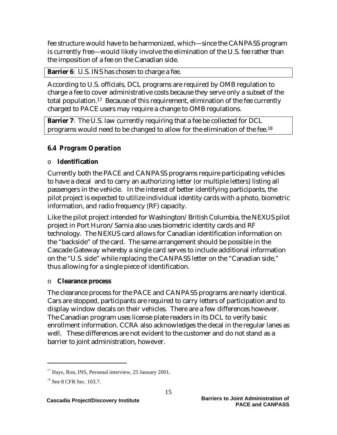fee structure would have to be harmonized, which—since the CANPASS program is currently free—would likely involve the elimination of the U.S. fee rather than the imposition of a fee on the Canadian side.

**Barrier 6:** U.S. INS has chosen to charge a fee.

According to U.S. officials, DCL programs are required by OMB regulation to charge a fee to cover administrative costs because they serve only a subset of the total population.17 Because of this requirement, elimination of the fee currently charged to PACE users may require a change to OMB regulations.

**Barrier 7:** The U.S. law currently requiring that a fee be collected for DCL programs would need to be changed to allow for the elimination of the fee.<sup>18</sup>

### *6.4 Program Operation*

#### o **Identification**

Currently both the PACE and CANPASS programs require participating vehicles to have a decal and to carry an authorizing letter (or multiple letters) listing all passengers in the vehicle. In the interest of better identifying participants, the pilot project is expected to utilize individual identity cards with a photo, biometric information, and radio frequency (RF) capacity.

Like the pilot project intended for Washington/British Columbia, the NEXUS pilot project in Port Huron/Sarnia also uses biometric identity cards and RF technology. The NEXUS card allows for Canadian identification information on the "backside" of the card. The same arrangement should be possible in the Cascade Gateway whereby a single card serves to include additional information on the "U.S. side" while replacing the CANPASS letter on the "Canadian side," thus allowing for a single piece of identification.

#### o **Clearance process**

The clearance process for the PACE and CANPASS programs are nearly identical. Cars are stopped, participants are required to carry letters of participation and to display window decals on their vehicles. There are a few differences however. The Canadian program uses license plate readers in its DCL to verify basic enrollment information. CCRA also acknowledges the decal in the regular lanes as well. These differences are not evident to the customer and do not stand as a barrier to joint administration, however.

 $17$  Hays, Ron, INS, Personal interview, 25 January 2001.

<sup>&</sup>lt;sup>18</sup> See 8 CFR Sec. 103.7.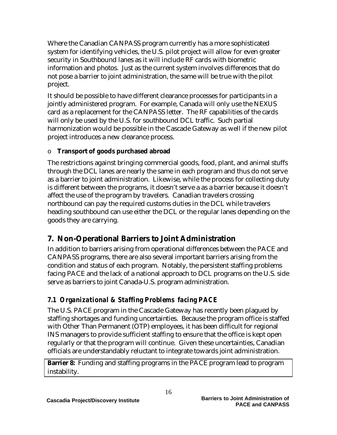Where the Canadian CANPASS program currently has a more sophisticated system for identifying vehicles, the U.S. pilot project will allow for even greater security in Southbound lanes as it will include RF cards with biometric information and photos. Just as the current system involves differences that do not pose a barrier to joint administration, the same will be true with the pilot project.

It should be possible to have different clearance processes for participants in a jointly administered program. For example, Canada will only use the NEXUS card as a replacement for the CANPASS letter. The RF capabilities of the cards will only be used by the U.S. for southbound DCL traffic. Such partial harmonization would be possible in the Cascade Gateway as well if the new pilot project introduces a new clearance process.

#### o **Transport of goods purchased abroad**

The restrictions against bringing commercial goods, food, plant, and animal stuffs through the DCL lanes are nearly the same in each program and thus do not serve as a barrier to joint administration. Likewise, while the process for collecting duty is different between the programs, it doesn't serve a as a barrier because it doesn't affect the use of the program by travelers. Canadian travelers crossing northbound can pay the required customs duties in the DCL while travelers heading southbound can use either the DCL or the regular lanes depending on the goods they are carrying.

# **7. Non-Operational Barriers to Joint Administration**

In addition to barriers arising from operational differences between the PACE and CANPASS programs, there are also several important barriers arising from the condition and status of each program. Notably, the persistent staffing problems facing PACE and the lack of a national approach to DCL programs on the U.S. side serve as barriers to joint Canada-U.S. program administration.

# *7.1 Organizational & Staffing Problems facing PACE*

The U.S. PACE program in the Cascade Gateway has recently been plagued by staffing shortages and funding uncertainties. Because the program office is staffed with Other Than Permanent (OTP) employees, it has been difficult for regional INS managers to provide sufficient staffing to ensure that the office is kept open regularly or that the program will continue. Given these uncertainties, Canadian officials are understandably reluctant to integrate towards joint administration.

**Barrier &**: Funding and staffing programs in the PACE program lead to program instability.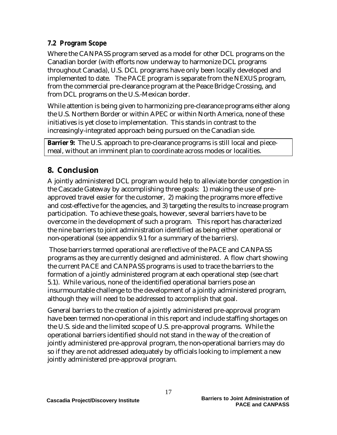#### *7.2 Program Scope*

Where the CANPASS program served as a model for other DCL programs on the Canadian border (with efforts now underway to harmonize DCL programs throughout Canada), U.S. DCL programs have only been locally developed and implemented to date. The PACE program is separate from the NEXUS program, from the commercial pre-clearance program at the Peace Bridge Crossing, and from DCL programs on the U.S.-Mexican border.

While attention is being given to harmonizing pre-clearance programs either along the U.S. Northern Border or within APEC or within North America, none of these initiatives is yet close to implementation. This stands in contrast to the increasingly-integrated approach being pursued on the Canadian side.

**Barrier 9:** The U.S. approach to pre-clearance programs is still local and piecemeal, without an imminent plan to coordinate across modes or localities.

# **8. Conclusion**

A jointly administered DCL program would help to alleviate border congestion in the Cascade Gateway by accomplishing three goals: 1) making the use of preapproved travel easier for the customer, 2) making the programs more effective and cost-effective for the agencies, and 3) targeting the results to increase program participation. To achieve these goals, however, several barriers have to be overcome in the development of such a program. This report has characterized the nine barriers to joint administration identified as being either operational or non-operational (see appendix 9.1 for a summary of the barriers).

 Those barriers termed operational are reflective of the PACE and CANPASS programs as they are currently designed and administered. A flow chart showing the current PACE and CANPASS programs is used to trace the barriers to the formation of a jointly administered program at each operational step (see chart 5.1). While various, none of the identified operational barriers pose an insurmountable challenge to the development of a jointly administered program, although they will need to be addressed to accomplish that goal.

General barriers to the creation of a jointly administered pre-approval program have been termed non-operational in this report and include staffing shortages on the U.S. side and the limited scope of U.S. pre-approval programs. While the operational barriers identified should not stand in the way of the creation of jointly administered pre-approval program, the non-operational barriers may do so if they are not addressed adequately by officials looking to implement a new jointly administered pre-approval program.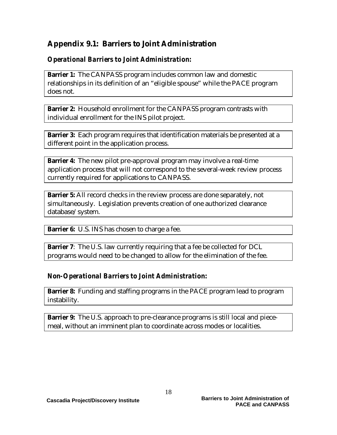# **Appendix 9.1: Barriers to Joint Administration**

#### *Operational Barriers to Joint Administration:*

**Barrier 1:** The CANPASS program includes common law and domestic relationships in its definition of an "eligible spouse" while the PACE program does not.

**Barrier 2:** Household enrollment for the CANPASS program contrasts with individual enrollment for the INS pilot project.

**Barrier 3:** Each program requires that identification materials be presented at a different point in the application process.

**Barrier 4:** The new pilot pre-approval program may involve a real-time application process that will not correspond to the several-week review process currently required for applications to CANPASS.

**Barrier 5:** All record checks in the review process are done separately, not simultaneously. Legislation prevents creation of one authorized clearance database/system.

**Barrier 6:** U.S. INS has chosen to charge a fee.

**Barrier 7:** The U.S. law currently requiring that a fee be collected for DCL programs would need to be changed to allow for the elimination of the fee.

#### *Non-Operational Barriers to Joint Administration:*

**Barrier &**: Funding and staffing programs in the PACE program lead to program instability.

**Barrier 9:** The U.S. approach to pre-clearance programs is still local and piecemeal, without an imminent plan to coordinate across modes or localities.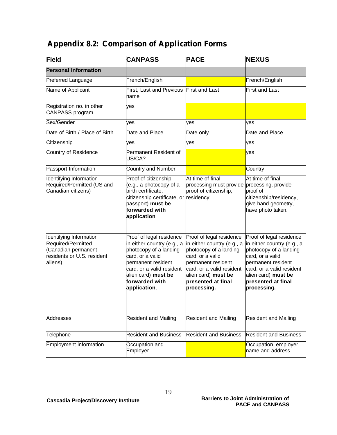# **Appendix 8.2: Comparison of Application Forms**

| <b>Field</b>                                                                                                  | <b>CANPASS</b>                                                                                                                                                                                                   | <b>PACE</b>                                                                                                                                                                                                         | <b>NEXUS</b>                                                                                                                                                                                                        |
|---------------------------------------------------------------------------------------------------------------|------------------------------------------------------------------------------------------------------------------------------------------------------------------------------------------------------------------|---------------------------------------------------------------------------------------------------------------------------------------------------------------------------------------------------------------------|---------------------------------------------------------------------------------------------------------------------------------------------------------------------------------------------------------------------|
| <b>Personal Information</b>                                                                                   |                                                                                                                                                                                                                  |                                                                                                                                                                                                                     |                                                                                                                                                                                                                     |
| Preferred Language                                                                                            | French/English                                                                                                                                                                                                   |                                                                                                                                                                                                                     | French/English                                                                                                                                                                                                      |
| Name of Applicant                                                                                             | <b>First, Last and Previous</b><br>name                                                                                                                                                                          | First and Last                                                                                                                                                                                                      | <b>First and Last</b>                                                                                                                                                                                               |
| Registration no. in other<br>CANPASS program                                                                  | ves                                                                                                                                                                                                              |                                                                                                                                                                                                                     |                                                                                                                                                                                                                     |
| Sex/Gender                                                                                                    | ves                                                                                                                                                                                                              | ves                                                                                                                                                                                                                 | ves                                                                                                                                                                                                                 |
| Date of Birth / Place of Birth                                                                                | Date and Place                                                                                                                                                                                                   | Date only                                                                                                                                                                                                           | Date and Place                                                                                                                                                                                                      |
| Citizenship                                                                                                   | ves                                                                                                                                                                                                              | yes                                                                                                                                                                                                                 | yes                                                                                                                                                                                                                 |
| <b>Country of Residence</b>                                                                                   | Permanent Resident of<br>US/CA?                                                                                                                                                                                  |                                                                                                                                                                                                                     | yes                                                                                                                                                                                                                 |
| Passport Information                                                                                          | <b>Country and Number</b>                                                                                                                                                                                        |                                                                                                                                                                                                                     | Country                                                                                                                                                                                                             |
| Identifying Information<br>Required/Permitted (US and<br>Canadian citizens)                                   | Proof of citizenship<br>(e.g., a photocopy of a<br>birth certificate,<br>citizenship certificate, or residency.<br>passport) must be<br>forwarded with<br>application                                            | At time of final<br>processing must provide processing, provide<br>proof of citizenship,                                                                                                                            | At time of final<br>proof of<br>citizenship/residency,<br>give hand geometry,<br>have photo taken.                                                                                                                  |
| Identifying Information<br>Required/Permitted<br>(Canadian permanent<br>residents or U.S. resident<br>aliens) | Proof of legal residence<br>in either country (e.g., a<br>photocopy of a landing<br>card, or a valid<br>permanent resident<br>card, or a valid resident<br>alien card) must be<br>forwarded with<br>application. | Proof of legal residence<br>in either country (e.g., a<br>photocopy of a landing<br>card, or a valid<br>permanent resident<br>card, or a valid resident<br>alien card) must be<br>presented at final<br>processing. | Proof of legal residence<br>in either country (e.g., a<br>photocopy of a landing<br>card, or a valid<br>permanent resident<br>card, or a valid resident<br>alien card) must be<br>presented at final<br>processing. |
| Addresses                                                                                                     | <b>Resident and Mailing</b>                                                                                                                                                                                      | <b>Resident and Mailing</b>                                                                                                                                                                                         | <b>Resident and Mailing</b>                                                                                                                                                                                         |
| Telephone                                                                                                     | <b>Resident and Business</b>                                                                                                                                                                                     | <b>Resident and Business</b>                                                                                                                                                                                        | <b>Resident and Business</b>                                                                                                                                                                                        |
| <b>Employment information</b>                                                                                 | Occupation and<br>Employer                                                                                                                                                                                       |                                                                                                                                                                                                                     | Occupation, employer<br>name and address                                                                                                                                                                            |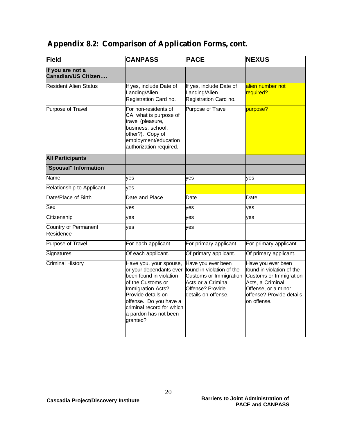# **Appendix 8.2: Comparison of Application Forms, cont.**

| Field                                   | <b>CANPASS</b>                                                                                                                                                                                                                           | <b>PACE</b>                                                                                                                                | <b>NEXUS</b>                                                                                                                                                    |
|-----------------------------------------|------------------------------------------------------------------------------------------------------------------------------------------------------------------------------------------------------------------------------------------|--------------------------------------------------------------------------------------------------------------------------------------------|-----------------------------------------------------------------------------------------------------------------------------------------------------------------|
| If you are not a<br>Canadian/US Citizen |                                                                                                                                                                                                                                          |                                                                                                                                            |                                                                                                                                                                 |
| <b>Resident Alien Status</b>            | If yes, include Date of<br>Landing/Alien<br>Registration Card no.                                                                                                                                                                        | If yes, include Date of<br>Landing/Alien<br>Registration Card no.                                                                          | alien number not<br>required?                                                                                                                                   |
| Purpose of Travel                       | For non-residents of<br>CA, what is purpose of<br>travel (pleasure,<br>business, school,<br>other?). Copy of<br>employment/education<br>authorization required.                                                                          | Purpose of Travel                                                                                                                          | purpose?                                                                                                                                                        |
| <b>All Participants</b>                 |                                                                                                                                                                                                                                          |                                                                                                                                            |                                                                                                                                                                 |
| "Spousal" Information                   |                                                                                                                                                                                                                                          |                                                                                                                                            |                                                                                                                                                                 |
| Name                                    | yes                                                                                                                                                                                                                                      | yes                                                                                                                                        | ves                                                                                                                                                             |
| Relationship to Applicant               | yes                                                                                                                                                                                                                                      |                                                                                                                                            |                                                                                                                                                                 |
| Date/Place of Birth                     | Date and Place                                                                                                                                                                                                                           | Date                                                                                                                                       | Date                                                                                                                                                            |
| Sex                                     | ves                                                                                                                                                                                                                                      | ves                                                                                                                                        | ves                                                                                                                                                             |
| Citizenship                             | ves                                                                                                                                                                                                                                      | ves                                                                                                                                        | ves                                                                                                                                                             |
| Country of Permanent<br>Residence       | ves                                                                                                                                                                                                                                      | ves                                                                                                                                        |                                                                                                                                                                 |
| Purpose of Travel                       | For each applicant.                                                                                                                                                                                                                      | For primary applicant.                                                                                                                     | For primary applicant.                                                                                                                                          |
| Signatures                              | Of each applicant.                                                                                                                                                                                                                       | Of primary applicant.                                                                                                                      | Of primary applicant.                                                                                                                                           |
| <b>Criminal History</b>                 | Have you, your spouse,<br>or your dependants ever<br>been found in violation<br>of the Customs or<br>Immigration Acts?<br>Provide details on<br>offense. Do you have a<br>criminal record for which<br>a pardon has not been<br>granted? | Have you ever been<br>found in violation of the<br>Customs or Immigration<br>Acts or a Criminal<br>Offense? Provide<br>details on offense. | Have you ever been<br>found in violation of the<br>Customs or Immigration<br>Acts, a Criminal<br>Offense, or a minor<br>offense? Provide details<br>on offense. |